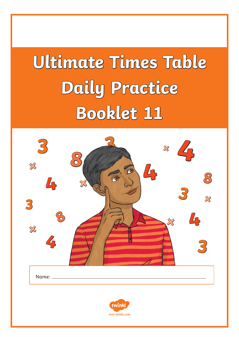# **Ultimate Times Table Daily Practice Booklet 11**

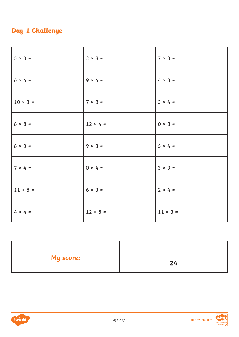# **Day 1 Challenge**

| $5 × 3 =$      | $3 × 8 =$       | $7 \times 3 =$  |
|----------------|-----------------|-----------------|
| $6 × 4 =$      | $9 \times 4 =$  | $4 \times 8 =$  |
| $10 × 3 =$     | $7 × 8 =$       | $3 × 4 =$       |
| $8 \times 8 =$ | $12 \times 4 =$ | $0 \times 8 =$  |
| $8 × 3 =$      | $9 \times 3 =$  | $5 \times 4 =$  |
| $7 × 4 =$      | $0 \times 4 =$  | $3 × 3 =$       |
| $11 × 8 =$     | $6 × 3 =$       | $2 × 4 =$       |
| $4 \times 4 =$ | $12 × 8 =$      | $11 \times 3 =$ |

| <b>My score:</b> | $\overline{24}$ |
|------------------|-----------------|
|                  |                 |



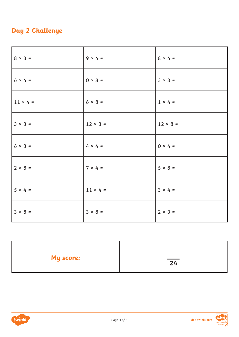# **Day 2 Challenge**

| $8 × 3 =$       | $9 \times 4 =$  | $8 \times 4 =$  |
|-----------------|-----------------|-----------------|
| $6 × 4 =$       | $0 \times 8 =$  | $3 × 3 =$       |
| $11 \times 4 =$ | $6 × 8 =$       | $1 \times 4 =$  |
| $3 × 3 =$       | $12 \times 3 =$ | $12 \times 8 =$ |
| $6 × 3 =$       | $4 \times 4 =$  | $0 × 4 =$       |
| $2 \times 8 =$  | $7 × 4 =$       | $5 \times 8 =$  |
| $5 \times 4 =$  | $11 \times 4 =$ | $3 × 4 =$       |
| $3 \times 8 =$  | $3 × 8 =$       | $2 × 3 =$       |

| <b>My score:</b> | $\overline{24}$ |
|------------------|-----------------|
|                  |                 |

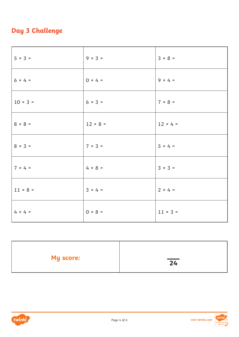# **Day 3 Challenge**

| $5 × 3 =$      | $9 \times 3 =$ | $3 \times 8 =$  |
|----------------|----------------|-----------------|
| $6 × 4 =$      | $0 \times 4 =$ | $9 \times 4 =$  |
| $10 × 3 =$     | $6 \times 3 =$ | $7 × 8 =$       |
| $8 \times 8 =$ | $12 × 8 =$     | $12 \times 4 =$ |
| $8 × 3 =$      | $7 × 3 =$      | $5 × 4 =$       |
| $7 × 4 =$      | $4 \times 8 =$ | $3 × 3 =$       |
| $11 × 8 =$     | $3 \times 4 =$ | $2 × 4 =$       |
| $4 \times 4 =$ | $0 \times 8 =$ | $11 \times 3 =$ |

| <b>My score:</b> | $\overline{24}$ |
|------------------|-----------------|
|                  |                 |

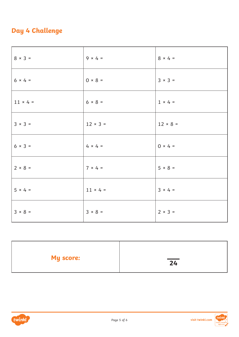# **Day 4 Challenge**

| $8 × 3 =$       | $9 \times 4 =$  | $8 \times 4 =$ |
|-----------------|-----------------|----------------|
| $6 × 4 =$       | $0 \times 8 =$  | $3 × 3 =$      |
| $11 \times 4 =$ | $6 × 8 =$       | $1 \times 4 =$ |
| $3 × 3 =$       | $12 \times 3 =$ | $12 × 8 =$     |
| $6 × 3 =$       | $4 \times 4 =$  | $0 × 4 =$      |
| $2 \times 8 =$  | $7 × 4 =$       | $5 \times 8 =$ |
| $5 \times 4 =$  | $11 \times 4 =$ | $3 × 4 =$      |
| $3 \times 8 =$  | $3 \times 8 =$  | $2 × 3 =$      |

| <b>My score:</b> | $\overline{24}$ |
|------------------|-----------------|
|                  |                 |